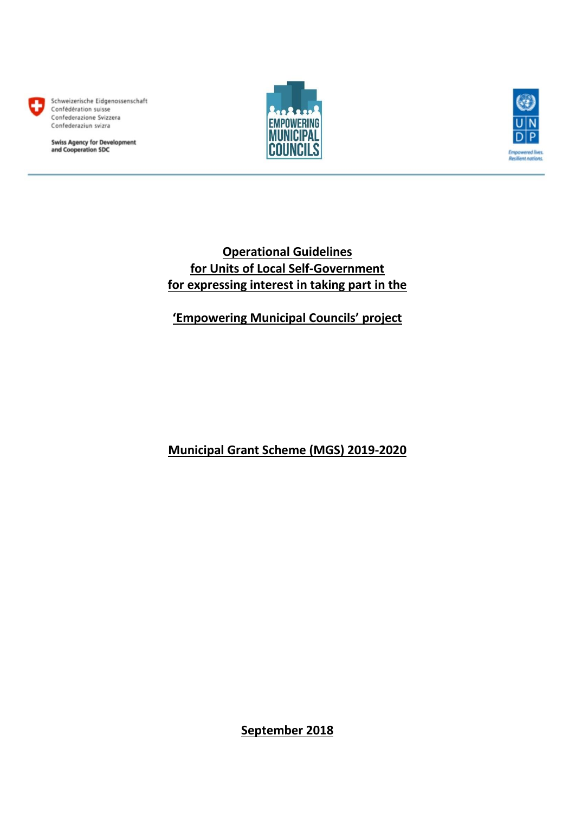

Schweizerische Eidgenossenschaft Confédération suisse Confederazione Svizzera Confederaziun svizra

**Swiss Agency for Development<br>and Cooperation SDC** 





# **Operational Guidelines for Units of Local Self-Government for expressing interest in taking part in the**

**'Empowering Municipal Councils' project** 

**Municipal Grant Scheme (MGS) 2019-2020** 

**September 2018**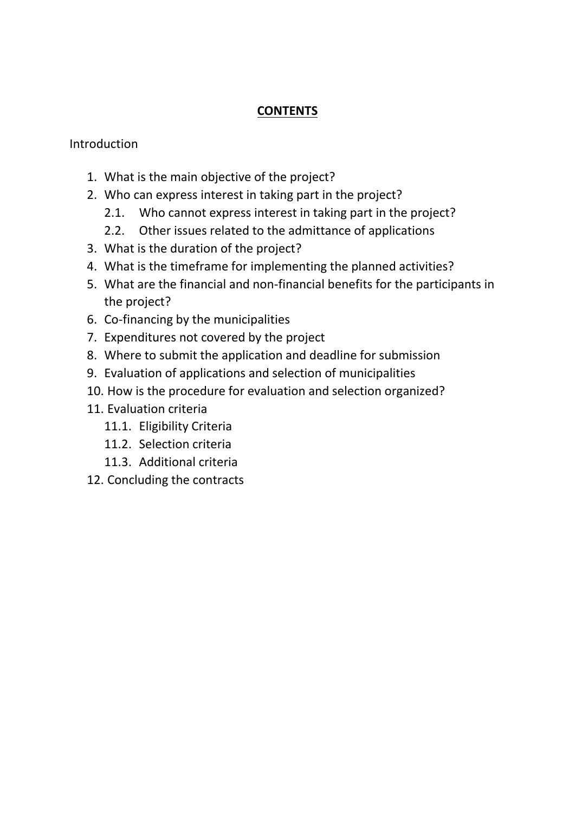## **CONTENTS**

#### Introduction

- 1. What is the main objective of the project?
- 2. Who can express interest in taking part in the project?
	- 2.1. Who cannot express interest in taking part in the project?
	- 2.2. Other issues related to the admittance of applications
- 3. What is the duration of the project?
- 4. What is the timeframe for implementing the planned activities?
- 5. What are the financial and non-financial benefits for the participants in the project?
- 6. Co-financing by the municipalities
- 7. Expenditures not covered by the project
- 8. Where to submit the application and deadline for submission
- 9. Evaluation of applications and selection of municipalities
- 10. How is the procedure for evaluation and selection organized?
- 11. Evaluation criteria
	- 11.1. Eligibility Criteria
	- 11.2. Selection criteria
	- 11.3. Additional criteria
- 12. Concluding the contracts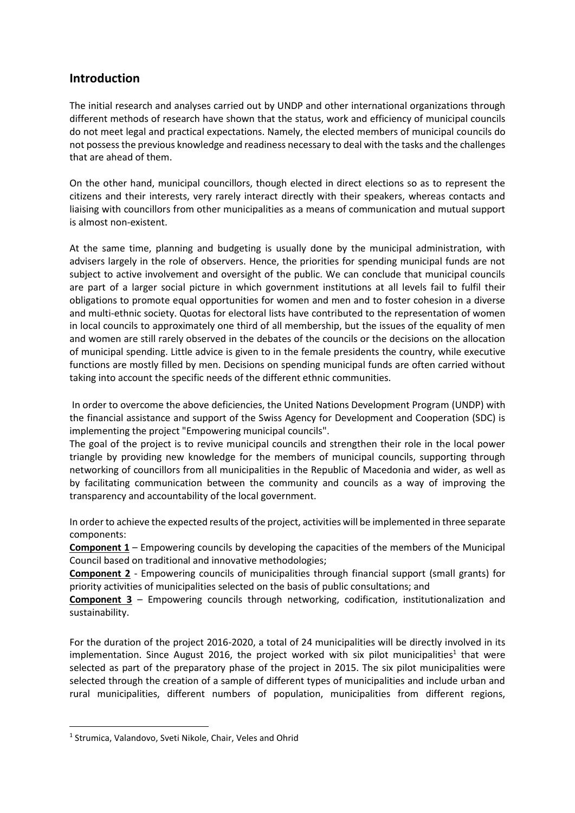#### **Introduction**

The initial research and analyses carried out by UNDP and other international organizations through different methods of research have shown that the status, work and efficiency of municipal councils do not meet legal and practical expectations. Namely, the elected members of municipal councils do not possess the previous knowledge and readiness necessary to deal with the tasks and the challenges that are ahead of them.

On the other hand, municipal councillors, though elected in direct elections so as to represent the citizens and their interests, very rarely interact directly with their speakers, whereas contacts and liaising with councillors from other municipalities as a means of communication and mutual support is almost non-existent.

At the same time, planning and budgeting is usually done by the municipal administration, with advisers largely in the role of observers. Hence, the priorities for spending municipal funds are not subject to active involvement and oversight of the public. We can conclude that municipal councils are part of a larger social picture in which government institutions at all levels fail to fulfil their obligations to promote equal opportunities for women and men and to foster cohesion in a diverse and multi-ethnic society. Quotas for electoral lists have contributed to the representation of women in local councils to approximately one third of all membership, but the issues of the equality of men and women are still rarely observed in the debates of the councils or the decisions on the allocation of municipal spending. Little advice is given to in the female presidents the country, while executive functions are mostly filled by men. Decisions on spending municipal funds are often carried without taking into account the specific needs of the different ethnic communities.

In order to overcome the above deficiencies, the United Nations Development Program (UNDP) with the financial assistance and support of the Swiss Agency for Development and Cooperation (SDC) is implementing the project "Empowering municipal councils".

The goal of the project is to revive municipal councils and strengthen their role in the local power triangle by providing new knowledge for the members of municipal councils, supporting through networking of councillors from all municipalities in the Republic of Macedonia and wider, as well as by facilitating communication between the community and councils as a way of improving the transparency and accountability of the local government.

In order to achieve the expected results of the project, activities will be implemented in three separate components:

**Component 1** – Empowering councils by developing the capacities of the members of the Municipal Council based on traditional and innovative methodologies;

**Component 2** - Empowering councils of municipalities through financial support (small grants) for priority activities of municipalities selected on the basis of public consultations; and

**Component 3** – Empowering councils through networking, codification, institutionalization and sustainability.

For the duration of the project 2016-2020, a total of 24 municipalities will be directly involved in its implementation. Since August 2016, the project worked with six pilot municipalities<sup>1</sup> that were selected as part of the preparatory phase of the project in 2015. The six pilot municipalities were selected through the creation of a sample of different types of municipalities and include urban and rural municipalities, different numbers of population, municipalities from different regions,

**.** 

<sup>&</sup>lt;sup>1</sup> Strumica, Valandovo, Sveti Nikole, Chair, Veles and Ohrid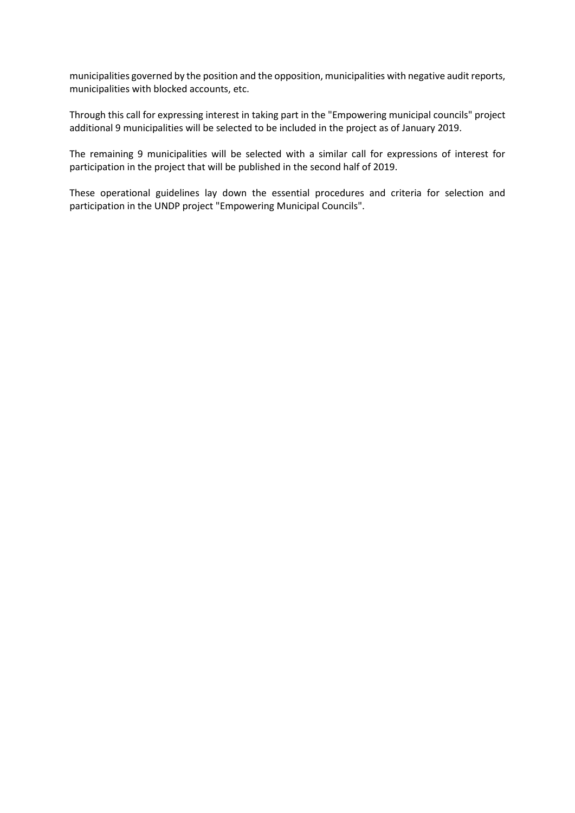municipalities governed by the position and the opposition, municipalities with negative audit reports, municipalities with blocked accounts, etc.

Through this call for expressing interest in taking part in the "Empowering municipal councils" project additional 9 municipalities will be selected to be included in the project as of January 2019.

The remaining 9 municipalities will be selected with a similar call for expressions of interest for participation in the project that will be published in the second half of 2019.

These operational guidelines lay down the essential procedures and criteria for selection and participation in the UNDP project "Empowering Municipal Councils".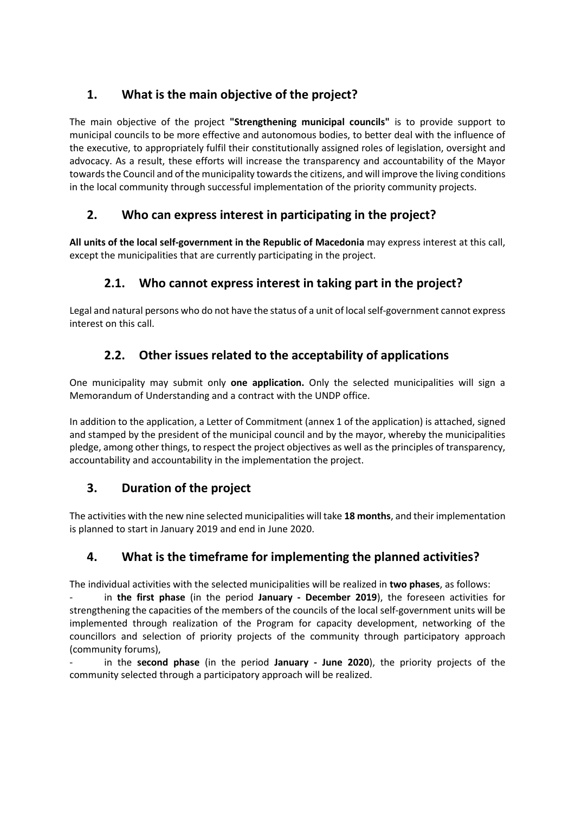# **1. What is the main objective of the project?**

The main objective of the project **"Strengthening municipal councils"** is to provide support to municipal councils to be more effective and autonomous bodies, to better deal with the influence of the executive, to appropriately fulfil their constitutionally assigned roles of legislation, oversight and advocacy. As a result, these efforts will increase the transparency and accountability of the Mayor towards the Council and of the municipality towards the citizens, and will improve the living conditions in the local community through successful implementation of the priority community projects.

## **2. Who can express interest in participating in the project?**

**All units of the local self-government in the Republic of Macedonia** may express interest at this call, except the municipalities that are currently participating in the project.

# **2.1. Who cannot express interest in taking part in the project?**

Legal and natural persons who do not have the status of a unit of local self-government cannot express interest on this call.

# **2.2. Other issues related to the acceptability of applications**

One municipality may submit only **one application.** Only the selected municipalities will sign a Memorandum of Understanding and a contract with the UNDP office.

In addition to the application, a Letter of Commitment (annex 1 of the application) is attached, signed and stamped by the president of the municipal council and by the mayor, whereby the municipalities pledge, among other things, to respect the project objectives as well as the principles of transparency, accountability and accountability in the implementation the project.

### **3. Duration of the project**

The activities with the new nine selected municipalities will take **18 months**, and their implementation is planned to start in January 2019 and end in June 2020.

### **4. What is the timeframe for implementing the planned activities?**

The individual activities with the selected municipalities will be realized in **two phases**, as follows:

- in **the first phase** (in the period **January - December 2019**), the foreseen activities for strengthening the capacities of the members of the councils of the local self-government units will be implemented through realization of the Program for capacity development, networking of the councillors and selection of priority projects of the community through participatory approach (community forums),

- in the **second phase** (in the period **January - June 2020**), the priority projects of the community selected through a participatory approach will be realized.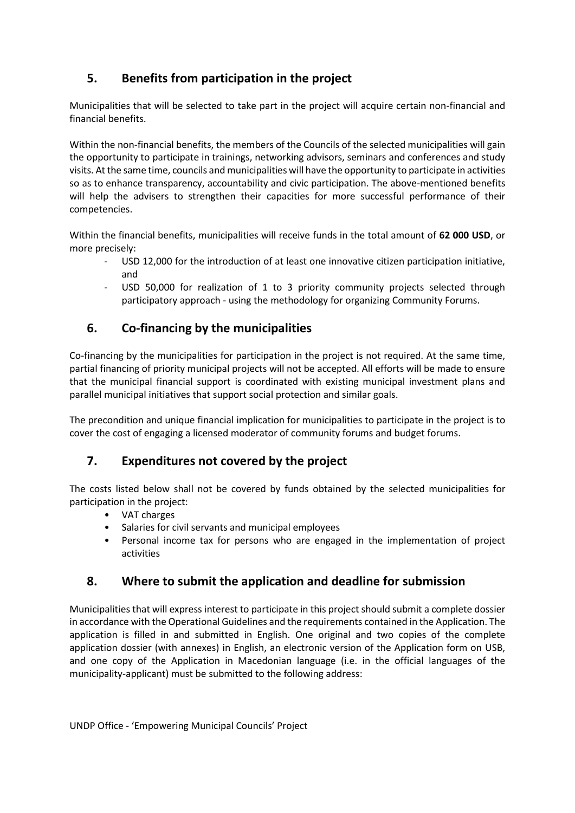# **5. Benefits from participation in the project**

Municipalities that will be selected to take part in the project will acquire certain non-financial and financial benefits.

Within the non-financial benefits, the members of the Councils of the selected municipalities will gain the opportunity to participate in trainings, networking advisors, seminars and conferences and study visits. At the same time, councils and municipalities will have the opportunity to participate in activities so as to enhance transparency, accountability and civic participation. The above-mentioned benefits will help the advisers to strengthen their capacities for more successful performance of their competencies.

Within the financial benefits, municipalities will receive funds in the total amount of **62 000 USD**, or more precisely:

- USD 12,000 for the introduction of at least one innovative citizen participation initiative, and
- USD 50,000 for realization of 1 to 3 priority community projects selected through participatory approach - using the methodology for organizing Community Forums.

## **6. Co-financing by the municipalities**

Co-financing by the municipalities for participation in the project is not required. At the same time, partial financing of priority municipal projects will not be accepted. All efforts will be made to ensure that the municipal financial support is coordinated with existing municipal investment plans and parallel municipal initiatives that support social protection and similar goals.

The precondition and unique financial implication for municipalities to participate in the project is to cover the cost of engaging a licensed moderator of community forums and budget forums.

### **7. Expenditures not covered by the project**

The costs listed below shall not be covered by funds obtained by the selected municipalities for participation in the project:

- VAT charges
- Salaries for civil servants and municipal employees
- Personal income tax for persons who are engaged in the implementation of project activities

#### **8. Where to submit the application and deadline for submission**

Municipalities that will express interest to participate in this project should submit a complete dossier in accordance with the Operational Guidelines and the requirements contained in the Application. The application is filled in and submitted in English. One original and two copies of the complete application dossier (with annexes) in English, an electronic version of the Application form on USB, and one copy of the Application in Macedonian language (i.e. in the official languages of the municipality-applicant) must be submitted to the following address: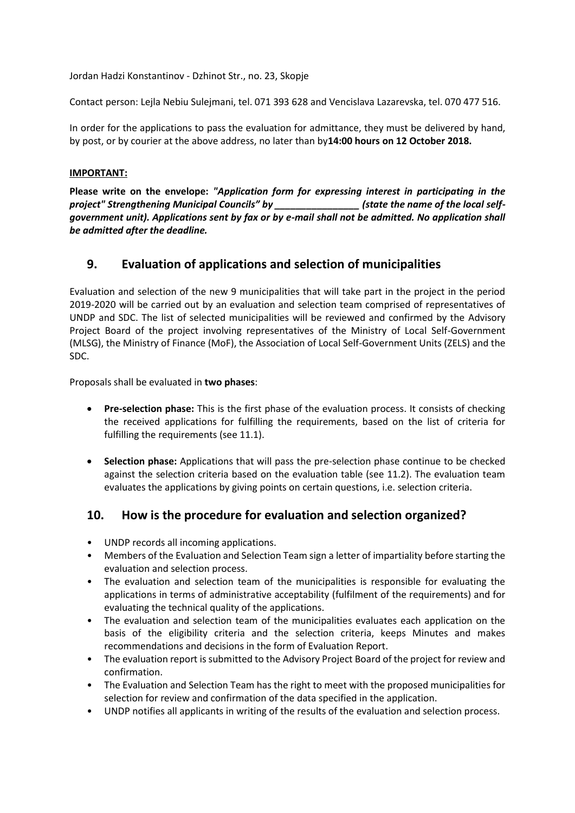Jordan Hadzi Konstantinov - Dzhinot Str., no. 23, Skopje

Contact person: Lejla Nebiu Sulejmani, tel. 071 393 628 and Vencislava Lazarevska, tel. 070 477 516.

In order for the applications to pass the evaluation for admittance, they must be delivered by hand, by post, or by courier at the above address, no later than by**14:00 hours on 12 October 2018.**

#### **IMPORTANT:**

**Please write on the envelope:** *"Application form for expressing interest in participating in the project" Strengthening Municipal Councils" by \_\_\_\_\_\_\_\_\_\_\_\_\_\_\_\_ (state the name of the local selfgovernment unit). Applications sent by fax or by e-mail shall not be admitted. No application shall be admitted after the deadline.*

#### **9. Evaluation of applications and selection of municipalities**

Evaluation and selection of the new 9 municipalities that will take part in the project in the period 2019-2020 will be carried out by an evaluation and selection team comprised of representatives of UNDP and SDC. The list of selected municipalities will be reviewed and confirmed by the Advisory Project Board of the project involving representatives of the Ministry of Local Self-Government (MLSG), the Ministry of Finance (MoF), the Association of Local Self-Government Units (ZELS) and the SDC.

Proposals shall be evaluated in **two phases**:

- **Pre-selection phase:** This is the first phase of the evaluation process. It consists of checking the received applications for fulfilling the requirements, based on the list of criteria for fulfilling the requirements (see 11.1).
- **Selection phase:** Applications that will pass the pre-selection phase continue to be checked against the selection criteria based on the evaluation table (see 11.2). The evaluation team evaluates the applications by giving points on certain questions, i.e. selection criteria.

#### **10. How is the procedure for evaluation and selection organized?**

- UNDP records all incoming applications.
- Members of the Evaluation and Selection Team sign a letter of impartiality before starting the evaluation and selection process.
- The evaluation and selection team of the municipalities is responsible for evaluating the applications in terms of administrative acceptability (fulfilment of the requirements) and for evaluating the technical quality of the applications.
- The evaluation and selection team of the municipalities evaluates each application on the basis of the eligibility criteria and the selection criteria, keeps Minutes and makes recommendations and decisions in the form of Evaluation Report.
- The evaluation report is submitted to the Advisory Project Board of the project for review and confirmation.
- The Evaluation and Selection Team has the right to meet with the proposed municipalities for selection for review and confirmation of the data specified in the application.
- UNDP notifies all applicants in writing of the results of the evaluation and selection process.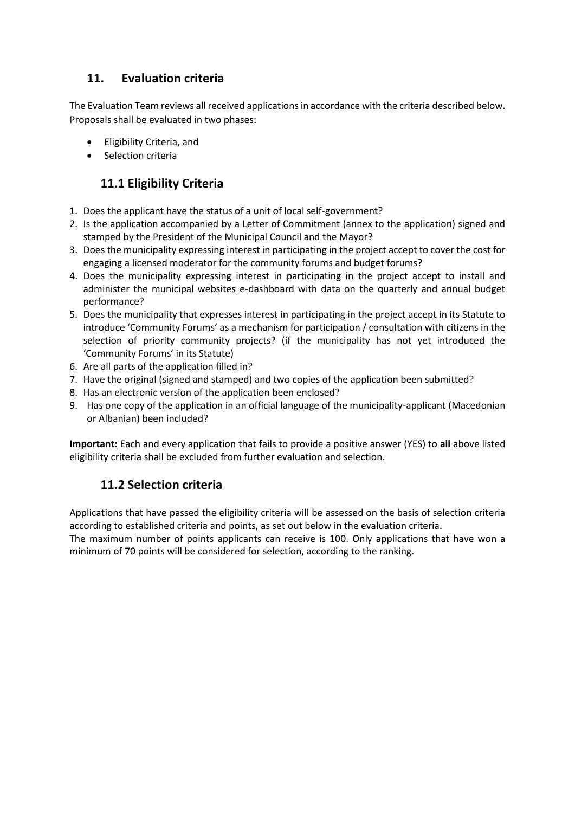## **11. Evaluation criteria**

The Evaluation Team reviews all received applications in accordance with the criteria described below. Proposals shall be evaluated in two phases:

- Eligibility Criteria, and
- Selection criteria

## **11.1 Eligibility Criteria**

- 1. Does the applicant have the status of a unit of local self-government?
- 2. Is the application accompanied by a Letter of Commitment (annex to the application) signed and stamped by the President of the Municipal Council and the Mayor?
- 3. Does the municipality expressing interest in participating in the project accept to cover the cost for engaging a licensed moderator for the community forums and budget forums?
- 4. Does the municipality expressing interest in participating in the project accept to install and administer the municipal websites e-dashboard with data on the quarterly and annual budget performance?
- 5. Does the municipality that expresses interest in participating in the project accept in its Statute to introduce 'Community Forums' as a mechanism for participation / consultation with citizens in the selection of priority community projects? (if the municipality has not yet introduced the 'Community Forums' in its Statute)
- 6. Are all parts of the application filled in?
- 7. Have the original (signed and stamped) and two copies of the application been submitted?
- 8. Has an electronic version of the application been enclosed?
- 9. Has one copy of the application in an official language of the municipality-applicant (Macedonian or Albanian) been included?

**Important:** Each and every application that fails to provide a positive answer (YES) to **all** above listed eligibility criteria shall be excluded from further evaluation and selection.

### **11.2 Selection criteria**

Applications that have passed the eligibility criteria will be assessed on the basis of selection criteria according to established criteria and points, as set out below in the evaluation criteria.

The maximum number of points applicants can receive is 100. Only applications that have won a minimum of 70 points will be considered for selection, according to the ranking.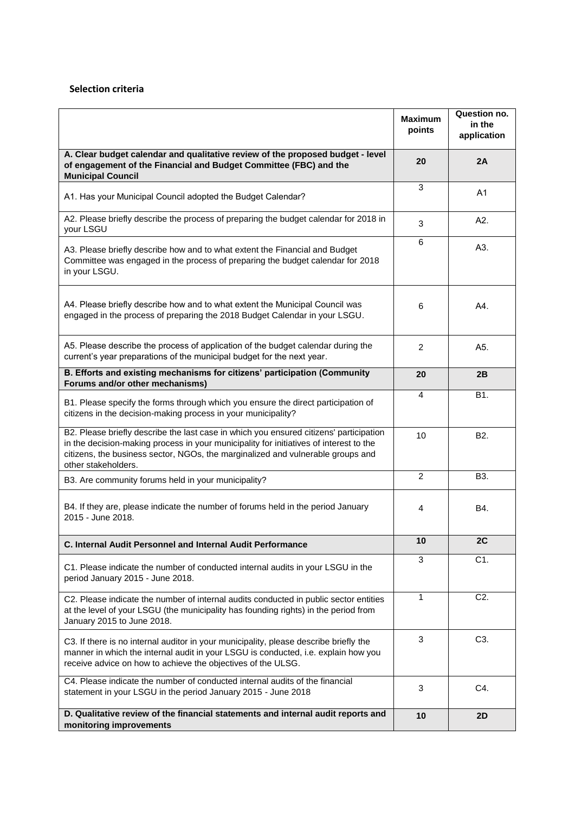#### **Selection criteria**

|                                                                                                                                                                                                                                                                                            | <b>Maximum</b><br>points | Question no.<br>in the<br>application |
|--------------------------------------------------------------------------------------------------------------------------------------------------------------------------------------------------------------------------------------------------------------------------------------------|--------------------------|---------------------------------------|
| A. Clear budget calendar and qualitative review of the proposed budget - level<br>of engagement of the Financial and Budget Committee (FBC) and the<br><b>Municipal Council</b>                                                                                                            | 20                       | 2A                                    |
| A1. Has your Municipal Council adopted the Budget Calendar?                                                                                                                                                                                                                                | 3                        | A <sub>1</sub>                        |
| A2. Please briefly describe the process of preparing the budget calendar for 2018 in<br>your LSGU                                                                                                                                                                                          | 3                        | A2.                                   |
| A3. Please briefly describe how and to what extent the Financial and Budget<br>Committee was engaged in the process of preparing the budget calendar for 2018<br>in your LSGU.                                                                                                             | 6                        | A3.                                   |
| A4. Please briefly describe how and to what extent the Municipal Council was<br>engaged in the process of preparing the 2018 Budget Calendar in your LSGU.                                                                                                                                 | 6                        | A4.                                   |
| A5. Please describe the process of application of the budget calendar during the<br>current's year preparations of the municipal budget for the next year.                                                                                                                                 | 2                        | A5.                                   |
| B. Efforts and existing mechanisms for citizens' participation (Community<br>Forums and/or other mechanisms)                                                                                                                                                                               | 20                       | 2B                                    |
| B1. Please specify the forms through which you ensure the direct participation of<br>citizens in the decision-making process in your municipality?                                                                                                                                         | 4                        | B1.                                   |
| B2. Please briefly describe the last case in which you ensured citizens' participation<br>in the decision-making process in your municipality for initiatives of interest to the<br>citizens, the business sector, NGOs, the marginalized and vulnerable groups and<br>other stakeholders. | 10                       | B <sub>2</sub> .                      |
| B3. Are community forums held in your municipality?                                                                                                                                                                                                                                        | $\overline{2}$           | B <sub>3</sub> .                      |
| B4. If they are, please indicate the number of forums held in the period January<br>2015 - June 2018.                                                                                                                                                                                      | 4                        | B4.                                   |
| C. Internal Audit Personnel and Internal Audit Performance                                                                                                                                                                                                                                 | 10                       | 2C                                    |
| C1. Please indicate the number of conducted internal audits in your LSGU in the<br>period January 2015 - June 2018.                                                                                                                                                                        | 3                        | C1.                                   |
| C2. Please indicate the number of internal audits conducted in public sector entities<br>at the level of your LSGU (the municipality has founding rights) in the period from<br>January 2015 to June 2018.                                                                                 | 1                        | C <sub>2</sub> .                      |
| C3. If there is no internal auditor in your municipality, please describe briefly the<br>manner in which the internal audit in your LSGU is conducted, i.e. explain how you<br>receive advice on how to achieve the objectives of the ULSG.                                                | 3                        | C3.                                   |
| C4. Please indicate the number of conducted internal audits of the financial<br>statement in your LSGU in the period January 2015 - June 2018                                                                                                                                              | 3                        | C4.                                   |
| D. Qualitative review of the financial statements and internal audit reports and<br>monitoring improvements                                                                                                                                                                                | 10                       | 2D                                    |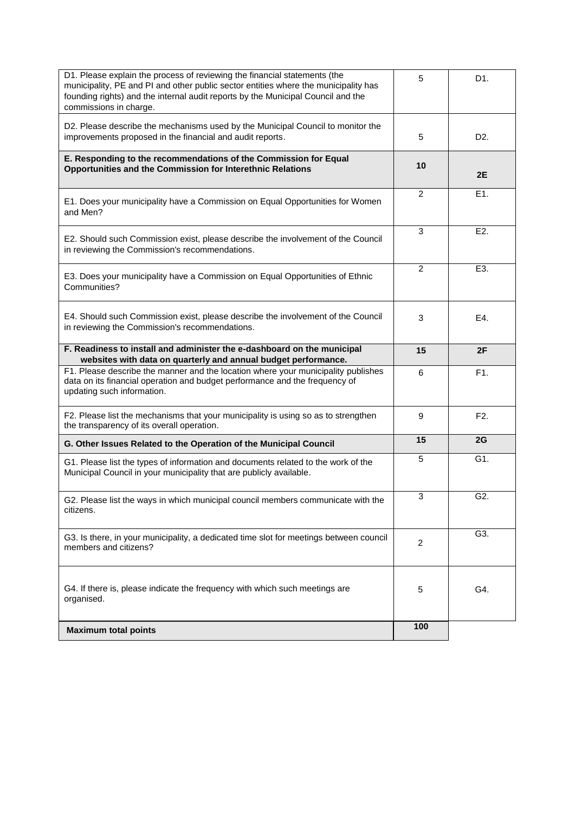| D1. Please explain the process of reviewing the financial statements (the<br>municipality, PE and PI and other public sector entities where the municipality has<br>founding rights) and the internal audit reports by the Municipal Council and the<br>commissions in charge. | 5              | D1.              |
|--------------------------------------------------------------------------------------------------------------------------------------------------------------------------------------------------------------------------------------------------------------------------------|----------------|------------------|
| D2. Please describe the mechanisms used by the Municipal Council to monitor the<br>improvements proposed in the financial and audit reports.                                                                                                                                   | 5              | D2.              |
| E. Responding to the recommendations of the Commission for Equal<br>Opportunities and the Commission for Interethnic Relations                                                                                                                                                 | 10             | 2E               |
| E1. Does your municipality have a Commission on Equal Opportunities for Women<br>and Men?                                                                                                                                                                                      | $\overline{2}$ | E1.              |
| E2. Should such Commission exist, please describe the involvement of the Council<br>in reviewing the Commission's recommendations.                                                                                                                                             | 3              | E <sub>2</sub> . |
| E3. Does your municipality have a Commission on Equal Opportunities of Ethnic<br>Communities?                                                                                                                                                                                  | $\overline{2}$ | E3.              |
| E4. Should such Commission exist, please describe the involvement of the Council<br>in reviewing the Commission's recommendations.                                                                                                                                             | 3              | E4.              |
| F. Readiness to install and administer the e-dashboard on the municipal<br>websites with data on quarterly and annual budget performance.                                                                                                                                      | 15             | 2F               |
| F1. Please describe the manner and the location where your municipality publishes<br>data on its financial operation and budget performance and the frequency of<br>updating such information.                                                                                 | 6              | F1.              |
| F2. Please list the mechanisms that your municipality is using so as to strengthen<br>the transparency of its overall operation.                                                                                                                                               | 9              | F <sub>2</sub> . |
| G. Other Issues Related to the Operation of the Municipal Council                                                                                                                                                                                                              | 15             | 2G               |
| G1. Please list the types of information and documents related to the work of the<br>Municipal Council in your municipality that are publicly available.                                                                                                                       | 5              | G1.              |
| G2. Please list the ways in which municipal council members communicate with the<br>citizens.                                                                                                                                                                                  | 3              | G <sub>2</sub> . |
| G3. Is there, in your municipality, a dedicated time slot for meetings between council<br>members and citizens?                                                                                                                                                                | $\overline{c}$ | G3.              |
| G4. If there is, please indicate the frequency with which such meetings are<br>organised.                                                                                                                                                                                      | 5              | G4.              |
| <b>Maximum total points</b>                                                                                                                                                                                                                                                    | 100            |                  |